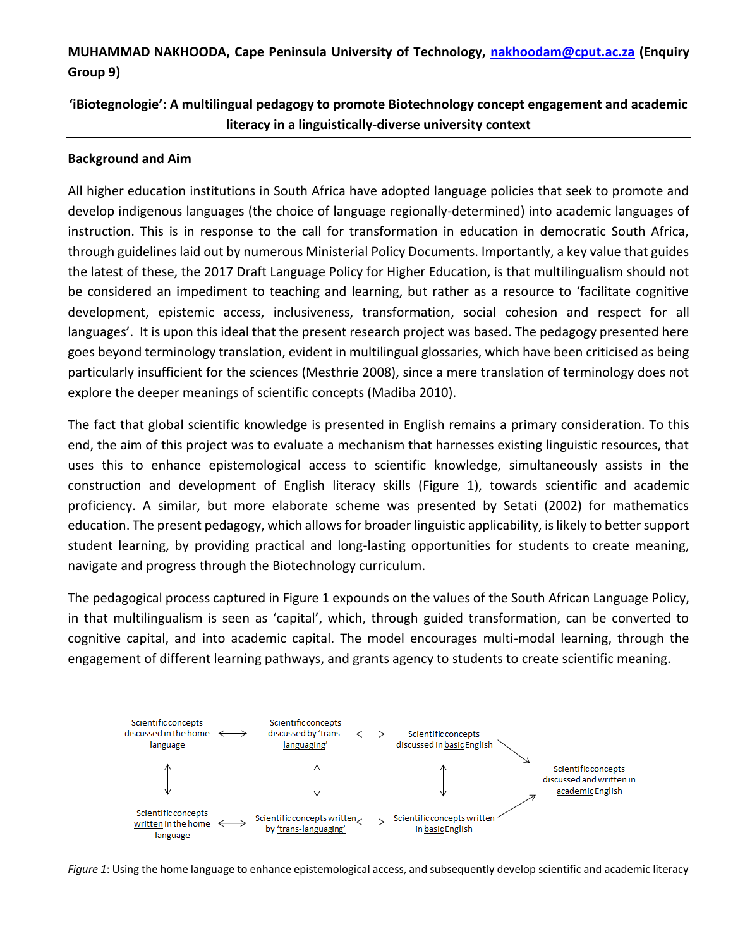# **MUHAMMAD NAKHOODA, Cape Peninsula University of Technology, [nakhoodam@cput.ac.za](mailto:nakhoodam@cput.ac.za) (Enquiry Group 9)**

# **'iBiotegnologie': A multilingual pedagogy to promote Biotechnology concept engagement and academic literacy in a linguistically-diverse university context**

## **Background and Aim**

All higher education institutions in South Africa have adopted language policies that seek to promote and develop indigenous languages (the choice of language regionally-determined) into academic languages of instruction. This is in response to the call for transformation in education in democratic South Africa, through guidelines laid out by numerous Ministerial Policy Documents. Importantly, a key value that guides the latest of these, the 2017 Draft Language Policy for Higher Education, is that multilingualism should not be considered an impediment to teaching and learning, but rather as a resource to 'facilitate cognitive development, epistemic access, inclusiveness, transformation, social cohesion and respect for all languages'. It is upon this ideal that the present research project was based. The pedagogy presented here goes beyond terminology translation, evident in multilingual glossaries, which have been criticised as being particularly insufficient for the sciences (Mesthrie 2008), since a mere translation of terminology does not explore the deeper meanings of scientific concepts (Madiba 2010).

The fact that global scientific knowledge is presented in English remains a primary consideration. To this end, the aim of this project was to evaluate a mechanism that harnesses existing linguistic resources, that uses this to enhance epistemological access to scientific knowledge, simultaneously assists in the construction and development of English literacy skills (Figure 1), towards scientific and academic proficiency. A similar, but more elaborate scheme was presented by Setati (2002) for mathematics education. The present pedagogy, which allows for broader linguistic applicability, is likely to better support student learning, by providing practical and long-lasting opportunities for students to create meaning, navigate and progress through the Biotechnology curriculum.

The pedagogical process captured in Figure 1 expounds on the values of the South African Language Policy, in that multilingualism is seen as 'capital', which, through guided transformation, can be converted to cognitive capital, and into academic capital. The model encourages multi-modal learning, through the engagement of different learning pathways, and grants agency to students to create scientific meaning.



*Figure 1*: Using the home language to enhance epistemological access, and subsequently develop scientific and academic literacy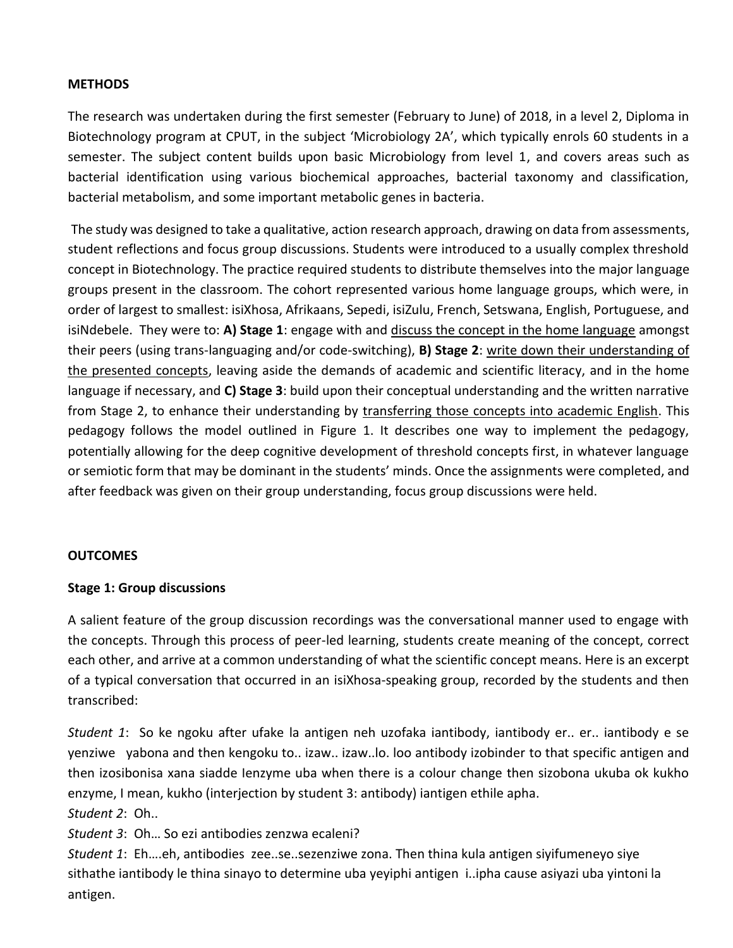### **METHODS**

The research was undertaken during the first semester (February to June) of 2018, in a level 2, Diploma in Biotechnology program at CPUT, in the subject 'Microbiology 2A', which typically enrols 60 students in a semester. The subject content builds upon basic Microbiology from level 1, and covers areas such as bacterial identification using various biochemical approaches, bacterial taxonomy and classification, bacterial metabolism, and some important metabolic genes in bacteria.

The study was designed to take a qualitative, action research approach, drawing on data from assessments, student reflections and focus group discussions. Students were introduced to a usually complex threshold concept in Biotechnology. The practice required students to distribute themselves into the major language groups present in the classroom. The cohort represented various home language groups, which were, in order of largest to smallest: isiXhosa, Afrikaans, Sepedi, isiZulu, French, Setswana, English, Portuguese, and isiNdebele. They were to: **A) Stage 1**: engage with and discuss the concept in the home language amongst their peers (using trans-languaging and/or code-switching), **B) Stage 2**: write down their understanding of the presented concepts, leaving aside the demands of academic and scientific literacy, and in the home language if necessary, and **C) Stage 3**: build upon their conceptual understanding and the written narrative from Stage 2, to enhance their understanding by transferring those concepts into academic English. This pedagogy follows the model outlined in Figure 1. It describes one way to implement the pedagogy, potentially allowing for the deep cognitive development of threshold concepts first, in whatever language or semiotic form that may be dominant in the students' minds. Once the assignments were completed, and after feedback was given on their group understanding, focus group discussions were held.

#### **OUTCOMES**

#### **Stage 1: Group discussions**

A salient feature of the group discussion recordings was the conversational manner used to engage with the concepts. Through this process of peer-led learning, students create meaning of the concept, correct each other, and arrive at a common understanding of what the scientific concept means. Here is an excerpt of a typical conversation that occurred in an isiXhosa-speaking group, recorded by the students and then transcribed:

*Student 1*: So ke ngoku after ufake la antigen neh uzofaka iantibody, iantibody er.. er.. iantibody e se yenziwe yabona and then kengoku to.. izaw.. izaw..lo. loo antibody izobinder to that specific antigen and then izosibonisa xana siadde Ienzyme uba when there is a colour change then sizobona ukuba ok kukho enzyme, I mean, kukho (interjection by student 3: antibody) iantigen ethile apha. *Student 2*: Oh..

*Student 3*: Oh… So ezi antibodies zenzwa ecaleni?

*Student 1*: Eh….eh, antibodies zee..se..sezenziwe zona. Then thina kula antigen siyifumeneyo siye sithathe iantibody le thina sinayo to determine uba yeyiphi antigen i..ipha cause asiyazi uba yintoni la antigen.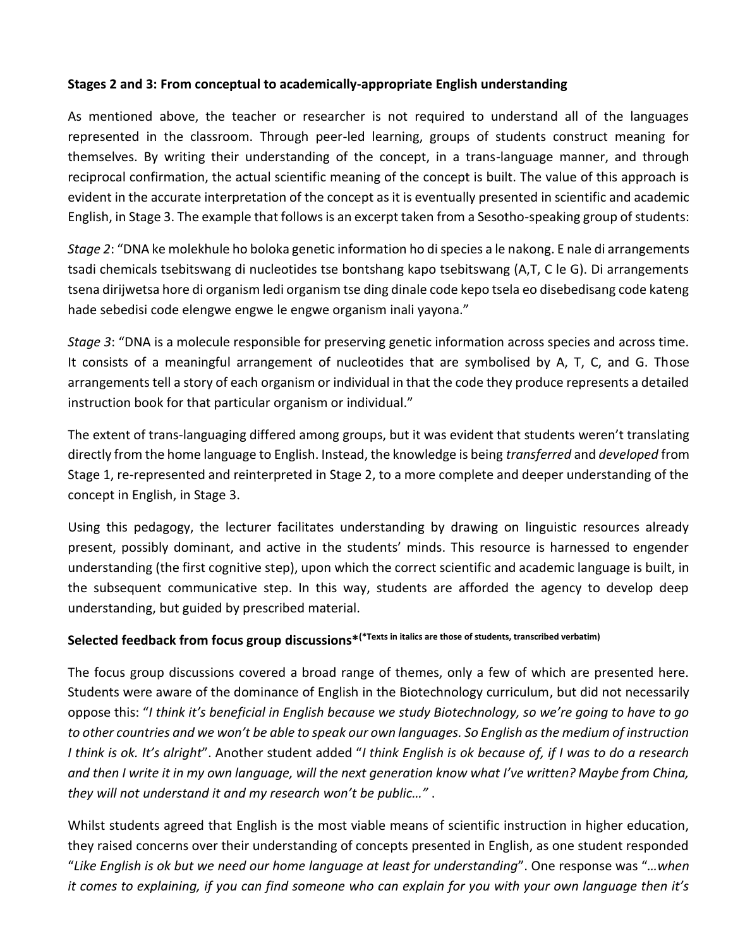## **Stages 2 and 3: From conceptual to academically-appropriate English understanding**

As mentioned above, the teacher or researcher is not required to understand all of the languages represented in the classroom. Through peer-led learning, groups of students construct meaning for themselves. By writing their understanding of the concept, in a trans-language manner, and through reciprocal confirmation, the actual scientific meaning of the concept is built. The value of this approach is evident in the accurate interpretation of the concept as it is eventually presented in scientific and academic English, in Stage 3. The example that follows is an excerpt taken from a Sesotho-speaking group of students:

*Stage 2*: "DNA ke molekhule ho boloka genetic information ho di species a le nakong. E nale di arrangements tsadi chemicals tsebitswang di nucleotides tse bontshang kapo tsebitswang (A,T, C le G). Di arrangements tsena dirijwetsa hore di organism ledi organism tse ding dinale code kepo tsela eo disebedisang code kateng hade sebedisi code elengwe engwe le engwe organism inali yayona."

*Stage 3*: "DNA is a molecule responsible for preserving genetic information across species and across time. It consists of a meaningful arrangement of nucleotides that are symbolised by A, T, C, and G. Those arrangements tell a story of each organism or individual in that the code they produce represents a detailed instruction book for that particular organism or individual."

The extent of trans-languaging differed among groups, but it was evident that students weren't translating directly from the home language to English. Instead, the knowledge is being *transferred* and *developed* from Stage 1, re-represented and reinterpreted in Stage 2, to a more complete and deeper understanding of the concept in English, in Stage 3.

Using this pedagogy, the lecturer facilitates understanding by drawing on linguistic resources already present, possibly dominant, and active in the students' minds. This resource is harnessed to engender understanding (the first cognitive step), upon which the correct scientific and academic language is built, in the subsequent communicative step. In this way, students are afforded the agency to develop deep understanding, but guided by prescribed material.

## **Selected feedback from focus group discussions\*(\*Texts in italics are those of students, transcribed verbatim)**

The focus group discussions covered a broad range of themes, only a few of which are presented here. Students were aware of the dominance of English in the Biotechnology curriculum, but did not necessarily oppose this: "*I think it's beneficial in English because we study Biotechnology, so we're going to have to go to other countries and we won't be able to speak our own languages. So English as the medium of instruction I think is ok. It's alright*". Another student added "*I think English is ok because of, if I was to do a research and then I write it in my own language, will the next generation know what I've written? Maybe from China, they will not understand it and my research won't be public…"* .

Whilst students agreed that English is the most viable means of scientific instruction in higher education, they raised concerns over their understanding of concepts presented in English, as one student responded "*Like English is ok but we need our home language at least for understanding*". One response was "*…when it comes to explaining, if you can find someone who can explain for you with your own language then it's*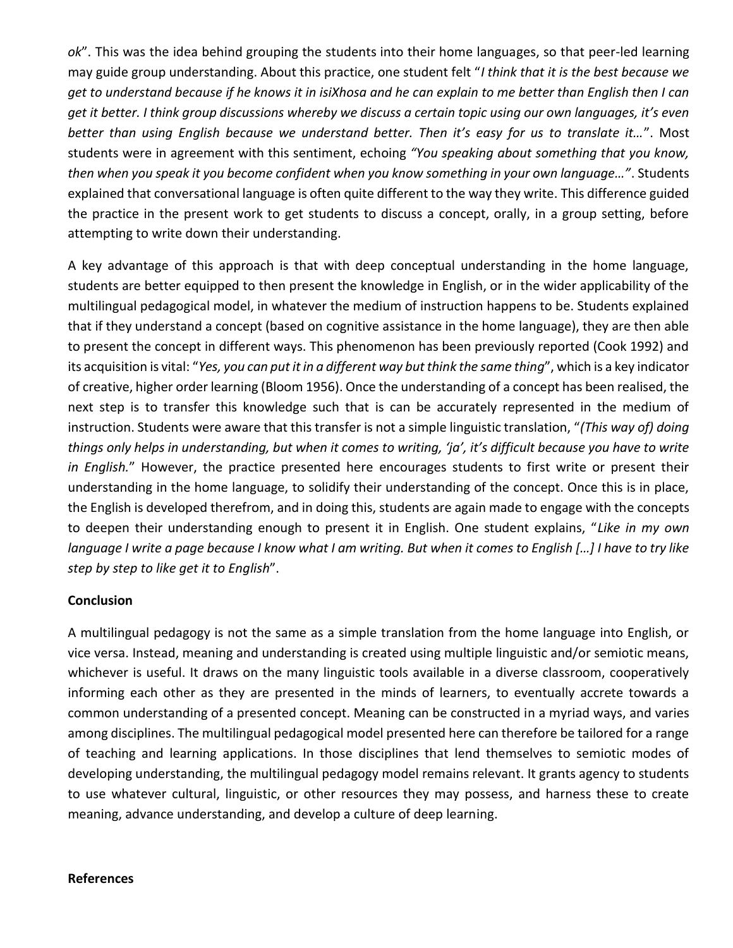*ok*". This was the idea behind grouping the students into their home languages, so that peer-led learning may guide group understanding. About this practice, one student felt "*I think that it is the best because we get to understand because if he knows it in isiXhosa and he can explain to me better than English then I can get it better. I think group discussions whereby we discuss a certain topic using our own languages, it's even better than using English because we understand better. Then it's easy for us to translate it…*". Most students were in agreement with this sentiment, echoing *"You speaking about something that you know, then when you speak it you become confident when you know something in your own language…"*. Students explained that conversational language is often quite different to the way they write. This difference guided the practice in the present work to get students to discuss a concept, orally, in a group setting, before attempting to write down their understanding.

A key advantage of this approach is that with deep conceptual understanding in the home language, students are better equipped to then present the knowledge in English, or in the wider applicability of the multilingual pedagogical model, in whatever the medium of instruction happens to be. Students explained that if they understand a concept (based on cognitive assistance in the home language), they are then able to present the concept in different ways. This phenomenon has been previously reported (Cook 1992) and its acquisition is vital: "*Yes, you can put it in a different way but think the same thing*", which is a key indicator of creative, higher order learning (Bloom 1956). Once the understanding of a concept has been realised, the next step is to transfer this knowledge such that is can be accurately represented in the medium of instruction. Students were aware that this transfer is not a simple linguistic translation, "*(This way of) doing things only helps in understanding, but when it comes to writing, 'ja', it's difficult because you have to write in English.*" However, the practice presented here encourages students to first write or present their understanding in the home language, to solidify their understanding of the concept. Once this is in place, the English is developed therefrom, and in doing this, students are again made to engage with the concepts to deepen their understanding enough to present it in English. One student explains, "*Like in my own language I write a page because I know what I am writing. But when it comes to English […] I have to try like step by step to like get it to English*".

### **Conclusion**

A multilingual pedagogy is not the same as a simple translation from the home language into English, or vice versa. Instead, meaning and understanding is created using multiple linguistic and/or semiotic means, whichever is useful. It draws on the many linguistic tools available in a diverse classroom, cooperatively informing each other as they are presented in the minds of learners, to eventually accrete towards a common understanding of a presented concept. Meaning can be constructed in a myriad ways, and varies among disciplines. The multilingual pedagogical model presented here can therefore be tailored for a range of teaching and learning applications. In those disciplines that lend themselves to semiotic modes of developing understanding, the multilingual pedagogy model remains relevant. It grants agency to students to use whatever cultural, linguistic, or other resources they may possess, and harness these to create meaning, advance understanding, and develop a culture of deep learning.

#### **References**